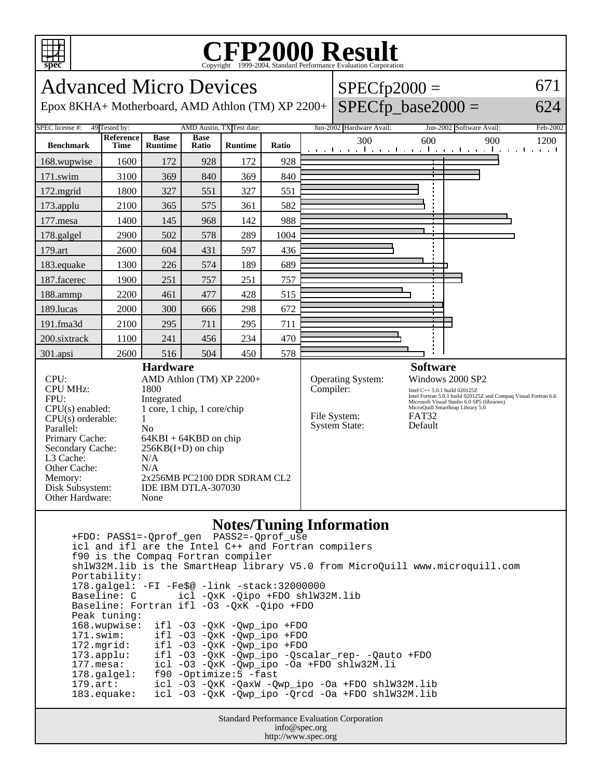

## **CFP2000 Result** Copyright 1999-2004, Standard Performance Evaluation Corporation

Advanced Micro Devices Epox 8KHA+ Motherboard, AMD Athlon (TM) XP 2200+  $SPECfp2000 =$  $SPECfp\_base2000 =$ 671 624 SPEC license #: 49 Tested by: AMD Austin, TX Test date: Jun-2002 Hardware Avail: Jun-2002 Software Avail: Feb-2002 **Benchmark Reference Time Base Runtime Base Ratio Runtime Ratio** 300 600 900 1200 168.wupwise 1600 172 928 172 928 171.swim | 3100 | 369 | 340 | 369 | 340 172.mgrid | 1800 | 327 | 551 | 327 | 551 173.applu | 2100 | 365 | 575 | 361 | 582 177.mesa | 1400 | 145 | 968 | 142 | 988 178.galgel | 2900 | 502 | 578 | 289 | 1004 179.art | 2600 | 604 | 431 | 597 | 436 183.equake 1300 226 574 189 689 187.facerec | 1900 | 251 | 757 | 251 | 757 188.ammp | 2200 | 461 | 477 | 428 | 515 189.lucas | 2000 | 300 | 666 | 298 | 672 191.fma3d 2100 295 711 295 711 200.sixtrack 1100 241 456 234 470 301.apsi | 2600 | 516 | 504 | 450 | 578 **Hardware** CPU: AMD Athlon (TM) XP 2200+ CPU MHz: 1800 FPU: Integrated CPU(s) enabled: 1 core, 1 chip, 1 core/chip  $CPU(s)$  orderable:  $1$ Parallel: No Primary Cache: 64KBI + 64KBD on chip Secondary Cache:  $256KB(I+D)$  on chip L3 Cache: N/A Other Cache: N/A Memory: 2x256MB PC2100 DDR SDRAM CL2 Disk Subsystem: IDE IBM DTLA-307030 Other Hardware: None **Software** Operating System: Windows 2000 SP2 Compiler: Intel C++ 5.0.1 build 020125Z Intel Fortran 5.0.1 build 020125Z and Compaq Visual Fortran 6.6 Microsoft Visual Studio 6.0 SP5 (libraries) MicroQuill Smartheap Library 5.0 File System: FAT32<br>System State: Default System State:

## **Notes/Tuning Information**

 +FDO: PASS1=-Qprof\_gen PASS2=-Qprof\_use icl and ifl are the Intel C++ and Fortran compilers f90 is the Compaq Fortran compiler shlW32M.lib is the SmartHeap library V5.0 from MicroQuill www.microquill.com Portability: 178.galgel: -FI -Fe\$@ -link -stack:32000000 icl -QxK -Qipo +FDO shlW32M.lib Baseline: Fortran ifl -O3 -QxK -Qipo +FDO Peak tuning: 168.wupwise: ifl -O3 -QxK -Qwp\_ipo +FDO 171.swim: ifl -O3 -QxK -Qwp\_ipo +FDO<br>172.mgrid: ifl -O3 -QxK -Qwp\_ipo +FDO 172.mgrid: ifl -O3 -QxK -Qwp\_ipo +FDO 173.applu: ifl -O3 -QxK -Qwp\_ipo -Qscalar\_rep- -Qauto +FDO 177.mesa: icl -O3 -QxK -Qwp\_ipo -Oa +FDO shlw32M.li 178.galgel: f90 -Optimize:5 -fast 179.art: icl -O3 -QxK -QaxW -Qwp\_ipo -Oa +FDO shlW32M.lib 183.equake: icl -O3 -QxK -Qwp\_ipo -Qrcd -Oa +FDO shlW32M.lib

Standard Performance Evaluation Corporation info@spec.org http://www.spec.org